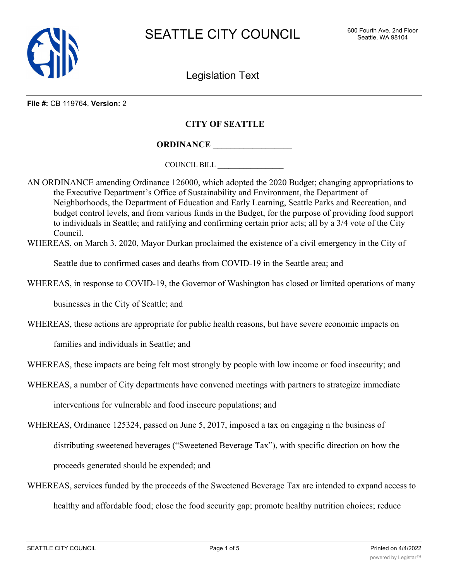

Legislation Text

**File #:** CB 119764, **Version:** 2

## **CITY OF SEATTLE**

**ORDINANCE \_\_\_\_\_\_\_\_\_\_\_\_\_\_\_\_\_\_**

COUNCIL BILL \_\_\_\_\_\_\_\_\_\_\_\_\_\_\_\_\_\_

AN ORDINANCE amending Ordinance 126000, which adopted the 2020 Budget; changing appropriations to the Executive Department's Office of Sustainability and Environment, the Department of Neighborhoods, the Department of Education and Early Learning, Seattle Parks and Recreation, and budget control levels, and from various funds in the Budget, for the purpose of providing food support to individuals in Seattle; and ratifying and confirming certain prior acts; all by a 3/4 vote of the City Council.

WHEREAS, on March 3, 2020, Mayor Durkan proclaimed the existence of a civil emergency in the City of

Seattle due to confirmed cases and deaths from COVID-19 in the Seattle area; and

WHEREAS, in response to COVID-19, the Governor of Washington has closed or limited operations of many

businesses in the City of Seattle; and

WHEREAS, these actions are appropriate for public health reasons, but have severe economic impacts on

families and individuals in Seattle; and

WHEREAS, these impacts are being felt most strongly by people with low income or food insecurity; and

WHEREAS, a number of City departments have convened meetings with partners to strategize immediate interventions for vulnerable and food insecure populations; and

WHEREAS, Ordinance 125324, passed on June 5, 2017, imposed a tax on engaging n the business of distributing sweetened beverages ("Sweetened Beverage Tax"), with specific direction on how the proceeds generated should be expended; and

WHEREAS, services funded by the proceeds of the Sweetened Beverage Tax are intended to expand access to healthy and affordable food; close the food security gap; promote healthy nutrition choices; reduce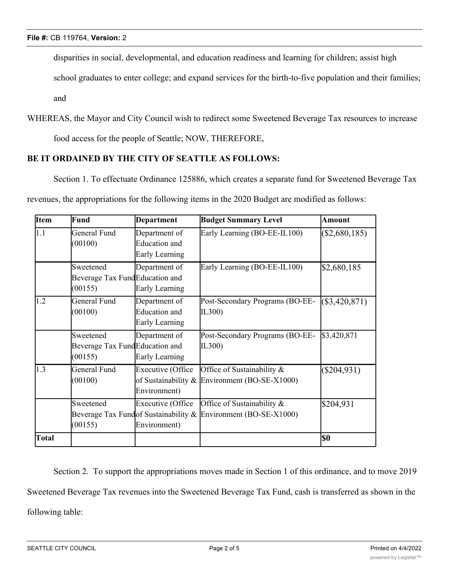disparities in social, developmental, and education readiness and learning for children; assist high

school graduates to enter college; and expand services for the birth-to-five population and their families;

and

WHEREAS, the Mayor and City Council wish to redirect some Sweetened Beverage Tax resources to increase

food access for the people of Seattle; NOW, THEREFORE,

## **BE IT ORDAINED BY THE CITY OF SEATTLE AS FOLLOWS:**

Section 1. To effectuate Ordinance 125886, which creates a separate fund for Sweetened Beverage Tax revenues, the appropriations for the following items in the 2020 Budget are modified as follows:

| <b>Item</b>  | Fund                                                   | <b>Department</b>                                       | <b>Budget Summary Level</b>                                                                  | <b>Amount</b>   |
|--------------|--------------------------------------------------------|---------------------------------------------------------|----------------------------------------------------------------------------------------------|-----------------|
| 1.1          | General Fund<br>(00100)                                | Department of<br><b>Education</b> and<br>Early Learning | Early Learning (BO-EE-IL100)                                                                 | $(\$2,680,185)$ |
|              | Sweetened<br>Beverage Tax FundEducation and<br>(00155) | Department of<br>Early Learning                         | Early Learning (BO-EE-IL100)                                                                 | \$2,680,185     |
| 1.2          | General Fund<br>(00100)                                | Department of<br><b>Education</b> and<br>Early Learning | Post-Secondary Programs (BO-EE-<br>IL300)                                                    | $(\$3,420,871)$ |
|              | Sweetened<br>Beverage Tax FundEducation and<br>(00155) | Department of<br>Early Learning                         | Post-Secondary Programs (BO-EE-<br>IL300)                                                    | \$3,420,871     |
| 1.3          | General Fund<br>(00100)                                | <b>Executive (Office</b><br>Environment)                | Office of Sustainability &<br>of Sustainability & Environment (BO-SE-X1000)                  | $(\$204,931)$   |
|              | Sweetened<br>(00155)                                   | <b>Executive (Office</b><br>Environment)                | Office of Sustainability &<br>Beverage Tax Fundof Sustainability & Environment (BO-SE-X1000) | \$204,931       |
| <b>Total</b> |                                                        |                                                         |                                                                                              | \$0             |

Section 2. To support the appropriations moves made in Section 1 of this ordinance, and to move 2019 Sweetened Beverage Tax revenues into the Sweetened Beverage Tax Fund, cash is transferred as shown in the following table: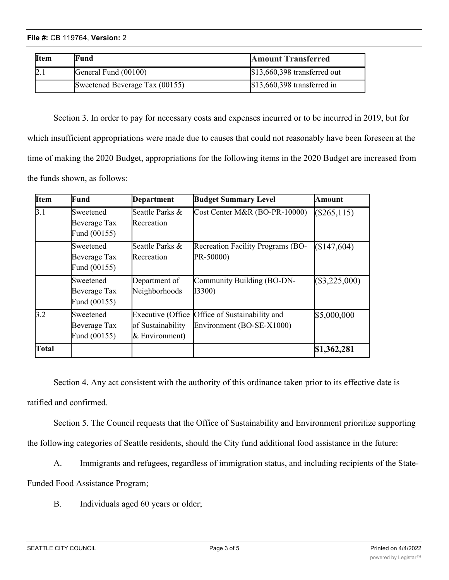| <b>Item</b> | Fund                           | <b>Amount Transferred</b>     |
|-------------|--------------------------------|-------------------------------|
|             | General Fund (00100)           | $$13,660,398$ transferred out |
|             | Sweetened Beverage Tax (00155) | $$13,660,398$ transferred in  |

Section 3. In order to pay for necessary costs and expenses incurred or to be incurred in 2019, but for which insufficient appropriations were made due to causes that could not reasonably have been foreseen at the time of making the 2020 Budget, appropriations for the following items in the 2020 Budget are increased from the funds shown, as follows:

| Item         | Fund                                      | Department                          | <b>Budget Summary Level</b>                                                 | Amount          |
|--------------|-------------------------------------------|-------------------------------------|-----------------------------------------------------------------------------|-----------------|
| 3.1          | Sweetened<br>Beverage Tax<br>Fund (00155) | Seattle Parks &<br>Recreation       | Cost Center M&R (BO-PR-10000)                                               | (\$265,115)     |
|              | Sweetened<br>Beverage Tax<br>Fund (00155) | Seattle Parks &<br>Recreation       | <b>Recreation Facility Programs (BO-</b><br>PR-50000)                       | (S147, 604)     |
|              | Sweetened<br>Beverage Tax<br>Fund (00155) | Department of<br>Neighborhoods      | Community Building (BO-DN-<br><b>I3300)</b>                                 | $(\$3,225,000)$ |
| 3.2          | Sweetened<br>Beverage Tax<br>Fund (00155) | of Sustainability<br>& Environment) | Executive (Office Office of Sustainability and<br>Environment (BO-SE-X1000) | \$5,000,000     |
| <b>Total</b> |                                           |                                     |                                                                             | \$1,362,281     |

Section 4. Any act consistent with the authority of this ordinance taken prior to its effective date is ratified and confirmed.

Section 5. The Council requests that the Office of Sustainability and Environment prioritize supporting

the following categories of Seattle residents, should the City fund additional food assistance in the future:

A. Immigrants and refugees, regardless of immigration status, and including recipients of the State-

Funded Food Assistance Program;

B. Individuals aged 60 years or older;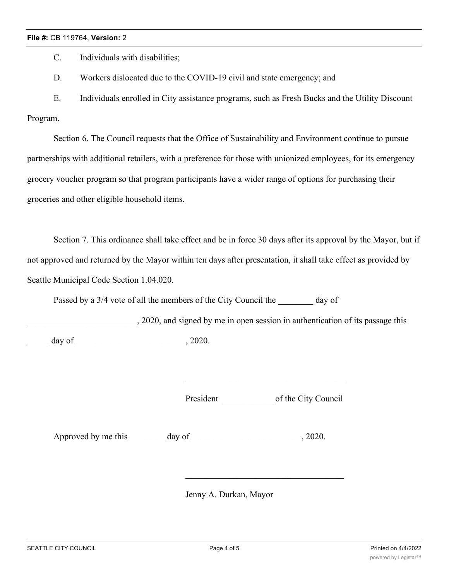## **File #:** CB 119764, **Version:** 2

C. Individuals with disabilities;

D. Workers dislocated due to the COVID-19 civil and state emergency; and

E. Individuals enrolled in City assistance programs, such as Fresh Bucks and the Utility Discount Program.

Section 6. The Council requests that the Office of Sustainability and Environment continue to pursue partnerships with additional retailers, with a preference for those with unionized employees, for its emergency grocery voucher program so that program participants have a wider range of options for purchasing their groceries and other eligible household items.

Section 7. This ordinance shall take effect and be in force 30 days after its approval by the Mayor, but if not approved and returned by the Mayor within ten days after presentation, it shall take effect as provided by Seattle Municipal Code Section 1.04.020.

Passed by a 3/4 vote of all the members of the City Council the day of

\_\_\_\_\_\_\_\_\_\_\_\_\_\_\_\_\_\_\_\_\_\_\_\_\_, 2020, and signed by me in open session in authentication of its passage this  $\frac{day}{f}$  of  $\frac{1}{2020}$ .

President of the City Council

Approved by me this day of  $\qquad \qquad$ , 2020.

Jenny A. Durkan, Mayor